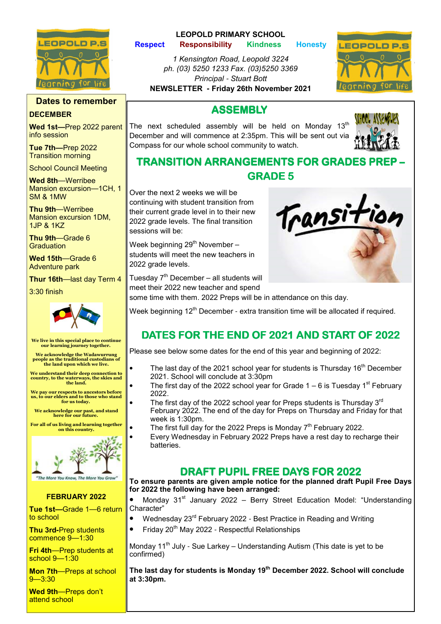

## Dates to remember

## **DECEMBER**

Wed 1st**—**Prep 2022 parent info session

Tue 7th**—**Prep 2022 Transition morning

School Council Meeting

Wed 8th—Werribee Mansion excursion—1CH, 1 SM & 1MW

Thu 9th—Werribee Mansion excursion 1DM, 1JP & 1KZ

Thu 9th—Grade 6 **Graduation** 

Wed 15th—Grade 6 Adventure park

Thur 16th—last day Term 4

3:30 finish



We live in this special place to continue our learning journey together.

We acknowledge the Wadawurrung people as the traditional custodians of the land upon which we live.

We understand their deep connection to country, to the waterways, the skies and the land.

We pay our respects to ancestors before us, to our elders and to those who stand for us today.

We acknowledge our past, and stand here for our future

For all of us living and learning together on this country.



### FEBRUARY 2022

Tue 1st**—**Grade 1—6 return to school

Thu 3rd**-**Prep students commence 9—1:30

Fri 4th—Prep students at school 9—1:30

Mon 7th—Preps at school  $9 - 3:30$ 

Wed 9th-Preps don't attend school

## LEOPOLD PRIMARY SCHOOL

Respect Responsibility Kindness Honesty

1 Kensington Road, Leopold 3224 ph. (03) 5250 1233 Fax. (03)5250 3369 Principal - Stuart Bott NEWSLETTER **-** Friday 26th November 2021



## **ASSEMBLY**

The next scheduled assembly will be held on Monday  $13<sup>th</sup>$ December and will commence at 2:35pm. This will be sent out via Compass for our whole school community to watch.



## **TRANSITION ARRANGEMENTS FOR GRADES** GRADE 5

Over the next 2 weeks we will be continuing with student transition from their current grade level in to their new 2022 grade levels. The final transition sessions will be:

Week beginning  $29<sup>th</sup>$  November – students will meet the new teachers in 2022 grade levels.

Tuesday  $7<sup>th</sup>$  December – all students will meet their 2022 new teacher and spend some time with them. 2022 Preps will be in attendance on this day.



Week beginning  $12<sup>th</sup>$  December - extra transition time will be allocated if required.

## DATES FOR THE END OF 2021 AND START OF 2022

Please see below some dates for the end of this year and beginning of 2022:

- The last day of the 2021 school year for students is Thursday 16<sup>th</sup> December 2021. School will conclude at 3:30pm
- The first day of the 2022 school year for Grade  $1 6$  is Tuesday 1<sup>st</sup> February 2022.
- The first day of the 2022 school year for Preps students is Thursday  $3<sup>rd</sup>$ February 2022. The end of the day for Preps on Thursday and Friday for that week is 1:30pm.
- The first full day for the 2022 Preps is Monday  $7<sup>th</sup>$  February 2022.
- Every Wednesday in February 2022 Preps have a rest day to recharge their batteries.

## DRAFT PUPIL FREE DAYS FOR 2022

To ensure parents are given ample notice for the planned draft Pupil Free Days for 2022 the following have been arranged:

Monday  $31<sup>st</sup>$  January 2022 – Berry Street Education Model: "Understanding Character"

- Wednesday 23<sup>rd</sup> February 2022 Best Practice in Reading and Writing
- Friday  $20^{th}$  May 2022 Respectful Relationships

Monday 11<sup>th</sup> July - Sue Larkey – Understanding Autism (This date is yet to be confirmed)

The last day for students is Monday 19<sup>th</sup> December 2022. School will conclude at 3:30pm.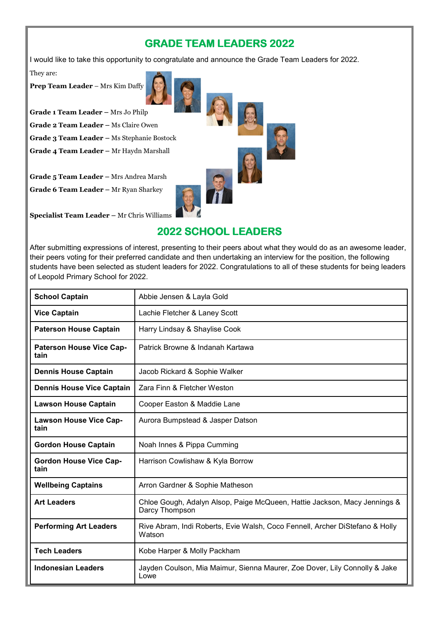## **GRADE TEAM LEADERS 2022**

I would like to take this opportunity to congratulate and announce the Grade Team Leaders for 2022.

They are:

Prep Team Leader – Mrs Kim Daffy



Grade 1 Team Leader – Mrs Jo Philp

Grade 2 Team Leader – Ms Claire Owen

Grade 3 Team Leader – Ms Stephanie Bostock

Grade 4 Team Leader – Mr Haydn Marshall

Grade 5 Team Leader – Mrs Andrea Marsh

Grade 6 Team Leader – Mr Ryan Sharkey

Specialist Team Leader – Mr Chris Williams

## **2022 SCHOOL LEADERS**

After submitting expressions of interest, presenting to their peers about what they would do as an awesome leader, their peers voting for their preferred candidate and then undertaking an interview for the position, the following students have been selected as student leaders for 2022. Congratulations to all of these students for being leaders of Leopold Primary School for 2022.

| <b>School Captain</b>                   | Abbie Jensen & Layla Gold                                                                   |
|-----------------------------------------|---------------------------------------------------------------------------------------------|
| <b>Vice Captain</b>                     | Lachie Fletcher & Laney Scott                                                               |
| <b>Paterson House Captain</b>           | Harry Lindsay & Shaylise Cook                                                               |
| <b>Paterson House Vice Cap-</b><br>tain | Patrick Browne & Indanah Kartawa                                                            |
| <b>Dennis House Captain</b>             | Jacob Rickard & Sophie Walker                                                               |
| <b>Dennis House Vice Captain</b>        | Zara Finn & Fletcher Weston                                                                 |
| <b>Lawson House Captain</b>             | Cooper Easton & Maddie Lane                                                                 |
| <b>Lawson House Vice Cap-</b><br>tain   | Aurora Bumpstead & Jasper Datson                                                            |
| <b>Gordon House Captain</b>             | Noah Innes & Pippa Cumming                                                                  |
| <b>Gordon House Vice Cap-</b><br>tain   | Harrison Cowlishaw & Kyla Borrow                                                            |
| <b>Wellbeing Captains</b>               | Arron Gardner & Sophie Matheson                                                             |
| <b>Art Leaders</b>                      | Chloe Gough, Adalyn Alsop, Paige McQueen, Hattie Jackson, Macy Jennings &<br>Darcy Thompson |
| <b>Performing Art Leaders</b>           | Rive Abram, Indi Roberts, Evie Walsh, Coco Fennell, Archer DiStefano & Holly<br>Watson      |
| <b>Tech Leaders</b>                     | Kobe Harper & Molly Packham                                                                 |
| <b>Indonesian Leaders</b>               | Jayden Coulson, Mia Maimur, Sienna Maurer, Zoe Dover, Lily Connolly & Jake<br>Lowe          |



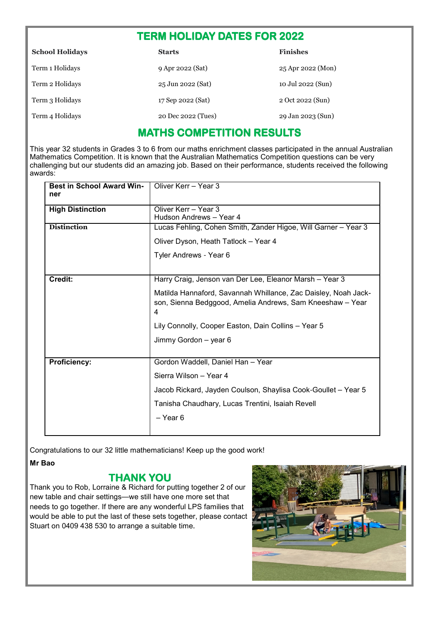## TERM HOLIDAY DATES FOR 2022

| <b>School Holidays</b> | <b>Starts</b>      | <b>Finishes</b>   |
|------------------------|--------------------|-------------------|
| Term 1 Holidays        | 9 Apr 2022 (Sat)   | 25 Apr 2022 (Mon) |
| Term 2 Holidays        | 25 Jun 2022 (Sat)  | 10 Jul 2022 (Sun) |
| Term 3 Holidays        | 17 Sep 2022 (Sat)  | 2 Oct 2022 (Sun)  |
| Term 4 Holidays        | 20 Dec 2022 (Tues) | 29 Jan 2023 (Sun) |

## MATHS COMPETITION RESULTS

This year 32 students in Grades 3 to 6 from our maths enrichment classes participated in the annual Australian Mathematics Competition. It is known that the Australian Mathematics Competition questions can be very challenging but our students did an amazing job. Based on their performance, students received the following awards:

| <b>Best in School Award Win-</b><br>ner | Oliver Kerr - Year 3                                                                                                             |
|-----------------------------------------|----------------------------------------------------------------------------------------------------------------------------------|
| <b>High Distinction</b>                 | Oliver Kerr - Year 3                                                                                                             |
|                                         | Hudson Andrews - Year 4                                                                                                          |
| <b>Distinction</b>                      | Lucas Fehling, Cohen Smith, Zander Higoe, Will Garner - Year 3                                                                   |
|                                         | Oliver Dyson, Heath Tatlock - Year 4                                                                                             |
|                                         | Tyler Andrews - Year 6                                                                                                           |
|                                         |                                                                                                                                  |
| Credit:                                 | Harry Craig, Jenson van Der Lee, Eleanor Marsh - Year 3                                                                          |
|                                         | Matilda Hannaford, Savannah Whillance, Zac Daisley, Noah Jack-<br>son, Sienna Bedggood, Amelia Andrews, Sam Kneeshaw - Year<br>4 |
|                                         | Lily Connolly, Cooper Easton, Dain Collins - Year 5                                                                              |
|                                         | Jimmy Gordon - year 6                                                                                                            |
|                                         |                                                                                                                                  |
| <b>Proficiency:</b>                     | Gordon Waddell, Daniel Han - Year                                                                                                |
|                                         | Sierra Wilson - Year 4                                                                                                           |
|                                         | Jacob Rickard, Jayden Coulson, Shaylisa Cook-Goullet - Year 5                                                                    |
|                                         | Tanisha Chaudhary, Lucas Trentini, Isaiah Revell                                                                                 |
|                                         | $-$ Year 6                                                                                                                       |
|                                         |                                                                                                                                  |

Congratulations to our 32 little mathematicians! Keep up the good work!

## Mr Bao

## THANK YOU

Thank you to Rob, Lorraine & Richard for putting together 2 of our new table and chair settings—we still have one more set that needs to go together. If there are any wonderful LPS families that would be able to put the last of these sets together, please contact Stuart on 0409 438 530 to arrange a suitable time.